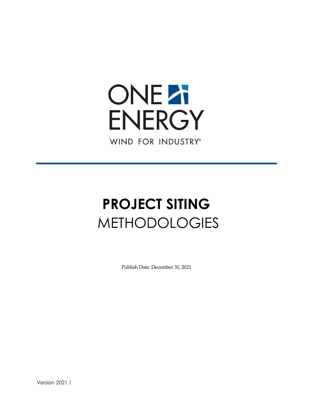# **ONEZI ENERGY** WIND FOR INDUSTRY®

# **PROJECT SITING** METHODOLOGIES

Publish Date: December 31, 2021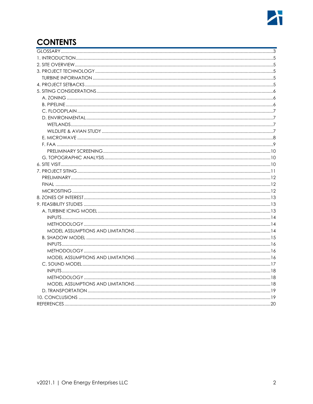# **CONTENTS**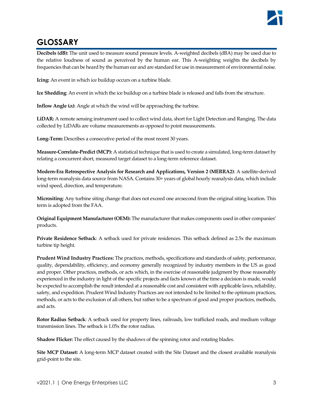# <span id="page-2-0"></span>**GLOSSARY**

**Decibels (dB):** The unit used to measure sound pressure levels. A-weighted decibels (dBA) may be used due to the relative loudness of sound as perceived by the human ear. This A-weighting weights the decibels by frequencies that can be heard by the human ear and are standard for use in measurement of environmental noise.

**Icing:** An event in which ice buildup occurs on a turbine blade.

**Ice Shedding**: An event in which the ice buildup on a turbine blade is released and falls from the structure.

**Inflow Angle (α)**: Angle at which the wind will be approaching the turbine.

**LiDAR:** A remote sensing instrument used to collect wind data, short for Light Detection and Ranging. The data collected by LiDARs are volume measurements as opposed to point measurements.

Long-Term: Describes a consecutive period of the most recent 30 years.

**Measure-Correlate-Predict (MCP):** A statistical technique that is used to create a simulated, long-term dataset by relating a concurrent short, measured target dataset to a long-term reference dataset.

**Modern-Era Retrospective Analysis for Research and Applications, Version 2 (MERRA2)**: A satellite-derived long-term reanalysis data source from NASA. Contains 30+ years of global hourly reanalysis data, which include wind speed, direction, and temperature.

**Micrositing**: Any turbine siting change that does not exceed one arcsecond from the original siting location. This term is adopted from the FAA.

**Original Equipment Manufacturer (OEM):** The manufacturer that makes components used in other companies' products.

**Private Residence Setback**: A setback used for private residences. This setback defined as 2.5x the maximum turbine tip height.

**Prudent Wind Industry Practices:** The practices, methods, specifications and standards of safety, performance, quality, dependability, efficiency, and economy generally recognized by industry members in the US as good and proper. Other practices, methods, or acts which, in the exercise of reasonable judgment by those reasonably experienced in the industry in light of the specific projects and facts known at the time a decision is made, would be expected to accomplish the result intended at a reasonable cost and consistent with applicable laws, reliability, safety, and expedition. Prudent Wind Industry Practices are not intended to be limited to the optimum practices, methods, or acts to the exclusion of all others, but rather to be a spectrum of good and proper practices, methods, and acts.

**Rotor Radius Setback**: A setback used for property lines, railroads, low trafficked roads, and medium voltage transmission lines. The setback is 1.05x the rotor radius.

**Shadow Flicker:** The effect caused by the shadows of the spinning rotor and rotating blades.

**Site MCP Dataset:** A long-term MCP dataset created with the Site Dataset and the closest available reanalysis grid-point to the site.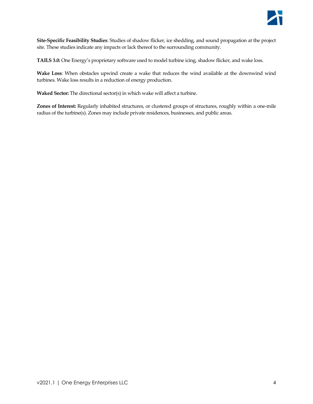

**Site-Specific Feasibility Studies**: Studies of shadow flicker, ice shedding, and sound propagation at the project site. These studies indicate any impacts or lack thereof to the surrounding community.

**TAILS 3.0:** One Energy's proprietary software used to model turbine icing, shadow flicker, and wake loss.

**Wake Loss**: When obstacles upwind create a wake that reduces the wind available at the downwind wind turbines. Wake loss results in a reduction of energy production.

**Waked Sector:** The directional sector(s) in which wake will affect a turbine.

**Zones of Interest:** Regularly inhabited structures, or clustered groups of structures, roughly within a one-mile radius of the turbine(s). Zones may include private residences, businesses, and public areas.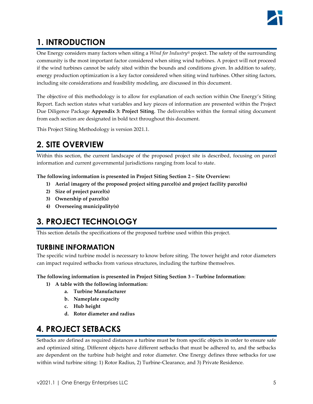# <span id="page-4-0"></span>**1. INTRODUCTION**

One Energy considers many factors when siting a *Wind for Industry®* project. The safety of the surrounding community is the most important factor considered when siting wind turbines. A project will not proceed if the wind turbines cannot be safely sited within the bounds and conditions given. In addition to safety, energy production optimization is a key factor considered when siting wind turbines. Other siting factors, including site considerations and feasibility modeling, are discussed in this document.

The objective of this methodology is to allow for explanation of each section within One Energy's Siting Report. Each section states what variables and key pieces of information are presented within the Project Due Diligence Package **Appendix 3: Project Siting**. The deliverables within the formal siting document from each section are designated in bold text throughout this document.

This Project Siting Methodology is version 2021.1.

# <span id="page-4-1"></span>**2. SITE OVERVIEW**

Within this section, the current landscape of the proposed project site is described, focusing on parcel information and current governmental jurisdictions ranging from local to state.

**The following information is presented in Project Siting Section 2 – Site Overview:**

- **1) Aerial imagery of the proposed project siting parcel(s) and project facility parcel(s)**
- **2) Size of project parcel(s)**
- **3) Ownership of parcel(s)**
- **4) Overseeing municipality(s)**

# <span id="page-4-2"></span>**3. PROJECT TECHNOLOGY**

This section details the specifications of the proposed turbine used within this project.

## <span id="page-4-3"></span>**TURBINE INFORMATION**

The specific wind turbine model is necessary to know before siting. The tower height and rotor diameters can impact required setbacks from various structures, including the turbine themselves.

**The following information is presented in Project Siting Section 3 – Turbine Information:**

- **1) A table with the following information:**
	- **a. Turbine Manufacturer**
	- **b. Nameplate capacity**
	- **c. Hub height**
	- **d. Rotor diameter and radius**

# <span id="page-4-4"></span>**4. PROJECT SETBACKS**

Setbacks are defined as required distances a turbine must be from specific objects in order to ensure safe and optimized siting. Different objects have different setbacks that must be adhered to, and the setbacks are dependent on the turbine hub height and rotor diameter. One Energy defines three setbacks for use within wind turbine siting: 1) Rotor Radius, 2) Turbine-Clearance, and 3) Private Residence.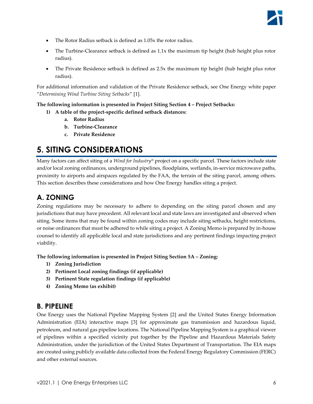- The Rotor Radius setback is defined as 1.05x the rotor radius.
- The Turbine-Clearance setback is defined as 1.1x the maximum tip height (hub height plus rotor radius).
- The Private Residence setback is defined as 2.5x the maximum tip height (hub height plus rotor radius).

For additional information and validation of the Private Residence setback, see One Energy white paper "*Determining Wind Turbine Siting Setbacks*" [1].

#### **The following information is presented in Project Siting Section 4 – Project Setbacks:**

- **1) A table of the project-specific defined setback distances:**
	- **a. Rotor Radius**
	- **b. Turbine-Clearance**
	- **c. Private Residence**

# <span id="page-5-0"></span>**5. SITING CONSIDERATIONS**

Many factors can affect siting of a *Wind for Industry®* project on a specific parcel. These factors include state and/or local zoning ordinances, underground pipelines, floodplains, wetlands, in-service microwave paths, proximity to airports and airspaces regulated by the FAA, the terrain of the siting parcel, among others. This section describes these considerations and how One Energy handles siting a project.

## <span id="page-5-1"></span>**A. ZONING**

Zoning regulations may be necessary to adhere to depending on the siting parcel chosen and any jurisdictions that may have precedent. All relevant local and state laws are investigated and observed when siting. Some items that may be found within zoning codes may include siting setbacks, height restrictions, or noise ordinances that must be adhered to while siting a project. A Zoning Memo is prepared by in-house counsel to identify all applicable local and state jurisdictions and any pertinent findings impacting project viability.

**The following information is presented in Project Siting Section 5A – Zoning:**

- **1) Zoning Jurisdiction**
- **2) Pertinent Local zoning findings (if applicable)**
- **3) Pertinent State regulation findings (if applicable)**
- **4) Zoning Memo (as exhibit)**

#### <span id="page-5-2"></span>**B. PIPELINE**

One Energy uses the National Pipeline Mapping System [2] and the United States Energy Information Administration (EIA) interactive maps [3] for approximate gas transmission and hazardous liquid, petroleum, and natural gas pipeline locations. The National Pipeline Mapping System is a graphical viewer of pipelines within a specified vicinity put together by the Pipeline and Hazardous Materials Safety Administration, under the jurisdiction of the United States Department of Transportation. The EIA maps are created using publicly available data collected from the Federal Energy Regulatory Commission (FERC) and other external sources.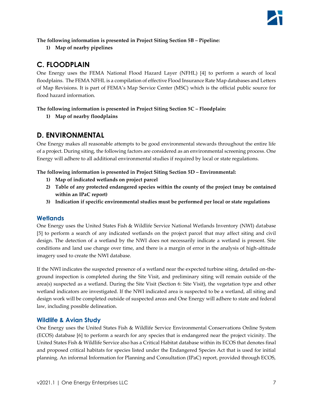**The following information is presented in Project Siting Section 5B – Pipeline:**

**1) Map of nearby pipelines**

## <span id="page-6-0"></span>**C. FLOODPLAIN**

One Energy uses the FEMA National Flood Hazard Layer (NFHL) [4] to perform a search of local floodplains. The FEMA NFHL is a compilation of effective Flood Insurance Rate Map databases and Letters of Map Revisions. It is part of FEMA's Map Service Center (MSC) which is the official public source for flood hazard information.

#### **The following information is presented in Project Siting Section 5C – Floodplain:**

**1) Map of nearby floodplains**

## <span id="page-6-1"></span>**D. ENVIRONMENTAL**

One Energy makes all reasonable attempts to be good environmental stewards throughout the entire life of a project. During siting, the following factors are considered as an environmental screening process. One Energy will adhere to all additional environmental studies if required by local or state regulations.

**The following information is presented in Project Siting Section 5D – Environmental:**

- **1) Map of indicated wetlands on project parcel**
- **2) Table of any protected endangered species within the county of the project (may be contained within an IPaC report)**
- **3) Indication if specific environmental studies must be performed per local or state regulations**

#### <span id="page-6-2"></span>**Wetlands**

One Energy uses the United States Fish & Wildlife Service National Wetlands Inventory (NWI) database [5] to perform a search of any indicated wetlands on the project parcel that may affect siting and civil design. The detection of a wetland by the NWI does not necessarily indicate a wetland is present. Site conditions and land use change over time, and there is a margin of error in the analysis of high-altitude imagery used to create the NWI database.

If the NWI indicates the suspected presence of a wetland near the expected turbine siting, detailed on-theground inspection is completed during the Site Visit, and preliminary siting will remain outside of the area(s) suspected as a wetland. During the Site Visit (Section 6: Site Visit), the vegetation type and other wetland indicators are investigated. If the NWI indicated area is suspected to be a wetland, all siting and design work will be completed outside of suspected areas and One Energy will adhere to state and federal law, including possible delineation.

#### <span id="page-6-3"></span>**Wildlife & Avian Study**

One Energy uses the United States Fish & Wildlife Service Environmental Conservations Online System (ECOS) database [6] to perform a search for any species that is endangered near the project vicinity. The United States Fish & Wildlife Service also has a Critical Habitat database within its ECOS that denotes final and proposed critical habitats for species listed under the Endangered Species Act that is used for initial planning. An informal Information for Planning and Consultation (IPaC) report, provided through ECOS,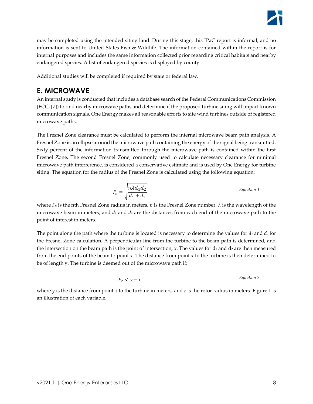may be completed using the intended siting land. During this stage, this IPaC report is informal, and no information is sent to United States Fish & Wildlife. The information contained within the report is for internal purposes and includes the same information collected prior regarding critical habitats and nearby endangered species. A list of endangered species is displayed by county.

Additional studies will be completed if required by state or federal law.

## <span id="page-7-0"></span>**E. MICROWAVE**

An internal study is conducted that includes a database search of the Federal Communications Commission (FCC, [7]) to find nearby microwave paths and determine if the proposed turbine siting will impact known communication signals. One Energy makes all reasonable efforts to site wind turbines outside of registered microwave paths.

The Fresnel Zone clearance must be calculated to perform the internal microwave beam path analysis. A Fresnel Zone is an ellipse around the microwave path containing the energy of the signal being transmitted. Sixty percent of the information transmitted through the microwave path is contained within the first Fresnel Zone. The second Fresnel Zone, commonly used to calculate necessary clearance for minimal microwave path interference, is considered a conservative estimate and is used by One Energy for turbine siting. The equation for the radius of the Fresnel Zone is calculated using the following equation:

$$
F_{\rm n} = \sqrt{\frac{n \lambda d_1 d_2}{d_1 + d_2}}
$$
 Equation 1

where  $F_n$  is the nth Fresnel Zone radius in meters, *n* is the Fresnel Zone number,  $\lambda$  is the wavelength of the microwave beam in meters, and *d<sup>1</sup>* and *d<sup>2</sup>* are the distances from each end of the microwave path to the point of interest in meters.

The point along the path where the turbine is located is necessary to determine the values for *d<sup>1</sup>* and *d<sup>2</sup>* for the Fresnel Zone calculation. A perpendicular line from the turbine to the beam path is determined, and the intersection on the beam path is the point of intersection,  $x$ . The values for  $d_1$  and  $d_2$  are then measured from the end points of the beam to point x. The distance from point  $x$  to the turbine is then determined to be of length y. The turbine is deemed out of the microwave path if:

$$
F_2 < y - r
$$
 *Equation 2*

where  $y$  is the distance from point  $x$  to the turbine in meters, and  $r$  is the rotor radius in meters. [Figure 1](#page-8-1) is an illustration of each variable.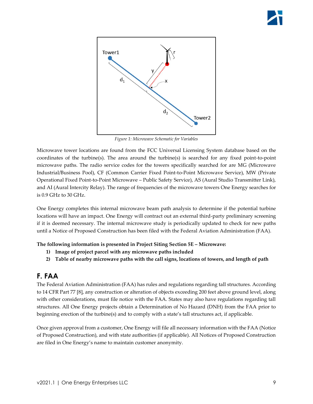

*Figure 1: Microwave Schematic for Variables*

<span id="page-8-1"></span>Microwave tower locations are found from the FCC Universal Licensing System database based on the coordinates of the turbine(s). The area around the turbine(s) is searched for any fixed point-to-point microwave paths. The radio service codes for the towers specifically searched for are MG (Microwave Industrial/Business Pool), CF (Common Carrier Fixed Point-to-Point Microwave Service), MW (Private Operational Fixed Point-to-Point Microwave – Public Safety Service), AS (Aural Studio Transmitter Link), and AI (Aural Intercity Relay). The range of frequencies of the microwave towers One Energy searches for is 0.9 GHz to 30 GHz.

One Energy completes this internal microwave beam path analysis to determine if the potential turbine locations will have an impact. One Energy will contract out an external third-party preliminary screening if it is deemed necessary. The internal microwave study is periodically updated to check for new paths until a Notice of Proposed Construction has been filed with the Federal Aviation Administration (FAA).

**The following information is presented in Project Siting Section 5E – Microwave:**

- **1) Image of project parcel with any microwave paths included**
- **2) Table of nearby microwave paths with the call signs, locations of towers, and length of path**

## <span id="page-8-0"></span>**F. FAA**

The Federal Aviation Administration (FAA) has rules and regulations regarding tall structures. According to 14 CFR Part 77 [8], any construction or alteration of objects exceeding 200 feet above ground level, along with other considerations, must file notice with the FAA. States may also have regulations regarding tall structures. All One Energy projects obtain a Determination of No Hazard (DNH) from the FAA prior to beginning erection of the turbine(s) and to comply with a state's tall structures act, if applicable.

Once given approval from a customer, One Energy will file all necessary information with the FAA (Notice of Proposed Construction), and with state authorities (if applicable). All Notices of Proposed Construction are filed in One Energy's name to maintain customer anonymity.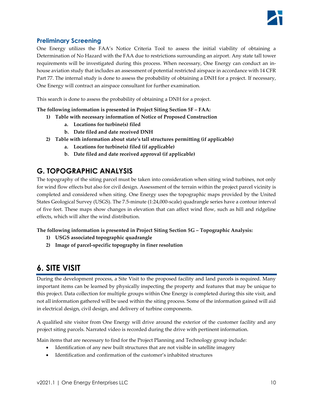#### <span id="page-9-0"></span>**Preliminary Screening**

One Energy utilizes the FAA's Notice Criteria Tool to assess the initial viability of obtaining a Determination of No Hazard with the FAA due to restrictions surrounding an airport. Any state tall tower requirements will be investigated during this process. When necessary, One Energy can conduct an inhouse aviation study that includes an assessment of potential restricted airspace in accordance with 14 CFR Part 77. The internal study is done to assess the probability of obtaining a DNH for a project. If necessary, One Energy will contract an airspace consultant for further examination.

This search is done to assess the probability of obtaining a DNH for a project.

**The following information is presented in Project Siting Section 5F – FAA:**

- **1) Table with necessary information of Notice of Proposed Construction**
	- **a. Locations for turbine(s) filed**
	- **b. Date filed and date received DNH**
- **2) Table with information about state's tall structures permitting (if applicable)**
	- **a. Locations for turbine(s) filed (if applicable)**
	- **b. Date filed and date received approval (if applicable)**

## <span id="page-9-1"></span>**G. TOPOGRAPHIC ANALYSIS**

The topography of the siting parcel must be taken into consideration when siting wind turbines, not only for wind flow effects but also for civil design. Assessment of the terrain within the project parcel vicinity is completed and considered when siting. One Energy uses the topographic maps provided by the United States Geological Survey (USGS). The 7.5-minute (1:24,000-scale) quadrangle series have a contour interval of five feet. These maps show changes in elevation that can affect wind flow, such as hill and ridgeline effects, which will alter the wind distribution.

**The following information is presented in Project Siting Section 5G – Topographic Analysis:**

- **1) USGS associated topographic quadrangle**
- **2) Image of parcel-specific topography in finer resolution**

## <span id="page-9-2"></span>**6. SITE VISIT**

During the development process, a Site Visit to the proposed facility and land parcels is required. Many important items can be learned by physically inspecting the property and features that may be unique to this project. Data collection for multiple groups within One Energy is completed during this site visit, and not all information gathered will be used within the siting process. Some of the information gained will aid in electrical design, civil design, and delivery of turbine components.

A qualified site visitor from One Energy will drive around the exterior of the customer facility and any project siting parcels. Narrated video is recorded during the drive with pertinent information.

Main items that are necessary to find for the Project Planning and Technology group include:

- Identification of any new built structures that are not visible in satellite imagery
- Identification and confirmation of the customer's inhabited structures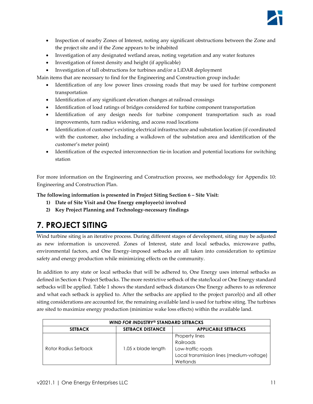

- Inspection of nearby Zones of Interest, noting any significant obstructions between the Zone and the project site and if the Zone appears to be inhabited
- Investigation of any designated wetland areas, noting vegetation and any water features
- Investigation of forest density and height (if applicable)
- Investigation of tall obstructions for turbines and/or a LiDAR deployment

Main items that are necessary to find for the Engineering and Construction group include:

- Identification of any low power lines crossing roads that may be used for turbine component transportation
- Identification of any significant elevation changes at railroad crossings
- Identification of load ratings of bridges considered for turbine component transportation
- Identification of any design needs for turbine component transportation such as road improvements, turn radius widening, and access road locations
- Identification of customer's existing electrical infrastructure and substation location (if coordinated with the customer, also including a walkdown of the substation area and identification of the customer's meter point)
- Identification of the expected interconnection tie-in location and potential locations for switching station

For more information on the Engineering and Construction process, see methodology for Appendix 10: Engineering and Construction Plan.

**The following information is presented in Project Siting Section 6 – Site Visit:**

- **1) Date of Site Visit and One Energy employee(s) involved**
- **2) Key Project Planning and Technology-necessary findings**

# <span id="page-10-0"></span>**7. PROJECT SITING**

Wind turbine siting is an iterative process. During different stages of development, siting may be adjusted as new information is uncovered. Zones of Interest, state and local setbacks, microwave paths, environmental factors, and One Energy-imposed setbacks are all taken into consideration to optimize safety and energy production while minimizing effects on the community.

In addition to any state or local setbacks that will be adhered to, One Energy uses internal setbacks as defined in Section 4: Project Setbacks. The more restrictive setback of the state/local or One Energy standard setbacks will be applied[. Table 1](#page-11-3) shows the standard setback distances One Energy adheres to as reference and what each setback is applied to. After the setbacks are applied to the project parcel(s) and all other siting considerations are accounted for, the remaining available land is used for turbine siting. The turbines are sited to maximize energy production (minimize wake loss effects) within the available land.

| WIND FOR INDUSTRY® STANDARD SETBACKS |                         |                                           |  |
|--------------------------------------|-------------------------|-------------------------------------------|--|
| <b>SETBACK</b>                       | <b>SETBACK DISTANCE</b> | <b>APPLICABLE SETBACKS</b>                |  |
| Rotor Radius Setback                 | 1.05 x blade length     | Property lines                            |  |
|                                      |                         | Railroads                                 |  |
|                                      |                         | Low-traffic roads                         |  |
|                                      |                         | Local transmission lines (medium-voltage) |  |
|                                      |                         | Wetlands                                  |  |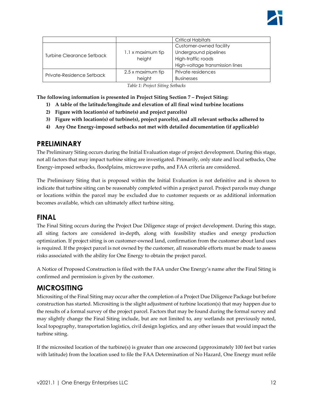

|                           |                   | Critical Habitats               |
|---------------------------|-------------------|---------------------------------|
| Turbine Clearance Setback |                   | Customer-owned facility         |
|                           | 1.1 x maximum tip | Underground pipelines           |
|                           | height            | High-traffic roads              |
|                           |                   | High-voltage transmission lines |
| Private-Residence Setback | 2.5 x maximum tip | Private residences              |
|                           | height            | <b>Businesses</b>               |

*Table 1: Project Siting Setbacks*

<span id="page-11-3"></span>**The following information is presented in Project Siting Section 7 – Project Siting:**

- **1) A table of the latitude/longitude and elevation of all final wind turbine locations**
- **2) Figure with location(s) of turbine(s) and project parcel(s)**
- **3) Figure with location(s) of turbine(s), project parcel(s), and all relevant setbacks adhered to**
- **4) Any One Energy-imposed setbacks not met with detailed documentation (if applicable)**

#### <span id="page-11-0"></span>**PRELIMINARY**

The Preliminary Siting occurs during the Initial Evaluation stage of project development. During this stage, not all factors that may impact turbine siting are investigated. Primarily, only state and local setbacks, One Energy-imposed setbacks, floodplains, microwave paths, and FAA criteria are considered.

The Preliminary Siting that is proposed within the Initial Evaluation is not definitive and is shown to indicate that turbine siting can be reasonably completed within a project parcel. Project parcels may change or locations within the parcel may be excluded due to customer requests or as additional information becomes available, which can ultimately affect turbine siting.

#### <span id="page-11-1"></span>**FINAL**

The Final Siting occurs during the Project Due Diligence stage of project development. During this stage, all siting factors are considered in-depth, along with feasibility studies and energy production optimization. If project siting is on customer-owned land, confirmation from the customer about land uses is required. If the project parcel is not owned by the customer, all reasonable efforts must be made to assess risks associated with the ability for One Energy to obtain the project parcel.

A Notice of Proposed Construction is filed with the FAA under One Energy's name after the Final Siting is confirmed and permission is given by the customer.

#### <span id="page-11-2"></span>**MICROSITING**

Micrositing of the Final Siting may occur after the completion of a Project Due Diligence Package but before construction has started. Micrositing is the slight adjustment of turbine location(s) that may happen due to the results of a formal survey of the project parcel. Factors that may be found during the formal survey and may slightly change the Final Siting include, but are not limited to, any wetlands not previously noted, local topography, transportation logistics, civil design logistics, and any other issues that would impact the turbine siting.

If the microsited location of the turbine(s) is greater than one arcsecond (approximately 100 feet but varies with latitude) from the location used to file the FAA Determination of No Hazard, One Energy must refile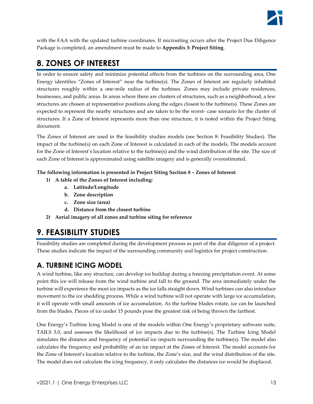

with the FAA with the updated turbine coordinates. If micrositing occurs after the Project Due Diligence Package is completed, an amendment must be made to **Appendix 3: Project Siting**.

## <span id="page-12-0"></span>**8. ZONES OF INTEREST**

In order to ensure safety and minimize potential effects from the turbines on the surrounding area, One Energy identifies "Zones of Interest" near the turbine(s). The Zones of Interest are regularly inhabited structures roughly within a one-mile radius of the turbines. Zones may include private residences, businesses, and public areas. In areas where there are clusters of structures, such as a neighborhood, a few structures are chosen at representative positions along the edges closest to the turbine(s). These Zones are expected to represent the nearby structures and are taken to be the worst- case scenario for the cluster of structures. If a Zone of Interest represents more than one structure, it is noted within the Project Siting document.

The Zones of Interest are used in the feasibility studies models (see Section 8: Feasibility Studies). The impact of the turbine(s) on each Zone of Interest is calculated in each of the models. The models account for the Zone of Interest's location relative to the turbine(s) and the wind distribution of the site. The size of each Zone of Interest is approximated using satellite imagery and is generally overestimated.

#### **The following information is presented in Project Siting Section 8 – Zones of Interest:**

- **1) A table of the Zones of Interest including:**
	- **a. Latitude/Longitude**
	- **b. Zone description**
	- **c. Zone size (area)**
	- **d. Distance from the closest turbine**
- **2) Aerial imagery of all zones and turbine siting for reference**

## <span id="page-12-1"></span>**9. FEASIBILITY STUDIES**

Feasibility studies are completed during the development process as part of the due diligence of a project. These studies indicate the impact of the surrounding community and logistics for project construction.

## <span id="page-12-2"></span>**A. TURBINE ICING MODEL**

A wind turbine, like any structure, can develop ice buildup during a freezing precipitation event. At some point this ice will release from the wind turbine and fall to the ground. The area immediately under the turbine will experience the most ice impacts as the ice falls straight down. Wind turbines can also introduce movement to the ice shedding process. While a wind turbine will not operate with large ice accumulation, it will operate with small amounts of ice accumulation. As the turbine blades rotate, ice can be launched from the blades. Pieces of ice under 15 pounds pose the greatest risk of being thrown the farthest.

One Energy's Turbine Icing Model is one of the models within One Energy's proprietary software suite, TAILS 3.0, and assesses the likelihood of ice impacts due to the turbine(s). The Turbine Icing Model simulates the distance and frequency of potential ice impacts surrounding the turbine(s). The model also calculates the frequency and probability of an ice impact at the Zones of Interest. The model accounts for the Zone of Interest's location relative to the turbine, the Zone's size, and the wind distribution of the site. The model does not calculate the icing frequency, it only calculates the distances ice would be displaced.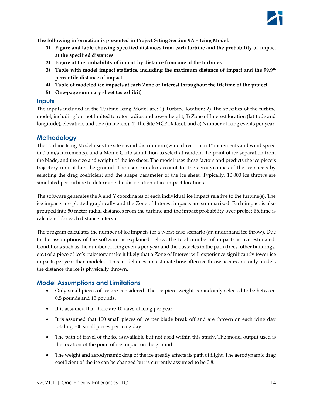

**The following information is presented in Project Siting Section 9A – Icing Model:**

- **1) Figure and table showing specified distances from each turbine and the probability of impact at the specified distances**
- **2) Figure of the probability of impact by distance from one of the turbines**
- **3) Table with model impact statistics, including the maximum distance of impact and the 99.9th percentile distance of impact**
- **4) Table of modeled ice impacts at each Zone of Interest throughout the lifetime of the project**
- **5) One-page summary sheet (as exhibit)**

#### <span id="page-13-0"></span>**Inputs**

The inputs included in the Turbine Icing Model are: 1) Turbine location; 2) The specifics of the turbine model, including but not limited to rotor radius and tower height; 3) Zone of Interest location (latitude and longitude), elevation, and size (in meters); 4) The Site MCP Dataset; and 5) Number of icing events per year.

#### <span id="page-13-1"></span>**Methodology**

The Turbine Icing Model uses the site's wind distribution (wind direction in 1° increments and wind speed in 0.5 m/s increments), and a Monte Carlo simulation to select at random the point of ice separation from the blade, and the size and weight of the ice sheet. The model uses these factors and predicts the ice piece's trajectory until it hits the ground. The user can also account for the aerodynamics of the ice sheets by selecting the drag coefficient and the shape parameter of the ice sheet. Typically, 10,000 ice throws are simulated per turbine to determine the distribution of ice impact locations.

The software generates the X and Y coordinates of each individual ice impact relative to the turbine(s). The ice impacts are plotted graphically and the Zone of Interest impacts are summarized. Each impact is also grouped into 50 meter radial distances from the turbine and the impact probability over project lifetime is calculated for each distance interval.

The program calculates the number of ice impacts for a worst-case scenario (an underhand ice throw). Due to the assumptions of the software as explained below, the total number of impacts is overestimated. Conditions such as the number of icing events per year and the obstacles in the path (trees, other buildings, etc.) of a piece of ice's trajectory make it likely that a Zone of Interest will experience significantly fewer ice impacts per year than modeled. This model does not estimate how often ice throw occurs and only models the distance the ice is physically thrown.

#### <span id="page-13-2"></span>**Model Assumptions and Limitations**

- Only small pieces of ice are considered. The ice piece weight is randomly selected to be between 0.5 pounds and 15 pounds.
- It is assumed that there are 10 days of icing per year.
- It is assumed that 100 small pieces of ice per blade break off and are thrown on each icing day totaling 300 small pieces per icing day.
- The path of travel of the ice is available but not used within this study. The model output used is the location of the point of ice impact on the ground.
- The weight and aerodynamic drag of the ice greatly affects its path of flight. The aerodynamic drag coefficient of the ice can be changed but is currently assumed to be 0.8.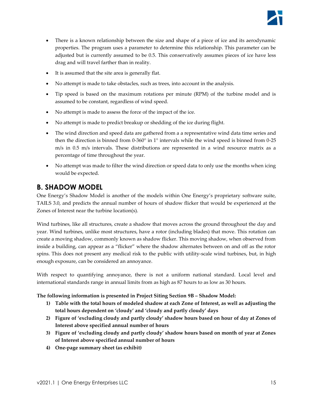

- There is a known relationship between the size and shape of a piece of ice and its aerodynamic properties. The program uses a parameter to determine this relationship. This parameter can be adjusted but is currently assumed to be 0.5. This conservatively assumes pieces of ice have less drag and will travel farther than in reality.
- It is assumed that the site area is generally flat.
- No attempt is made to take obstacles, such as trees, into account in the analysis.
- Tip speed is based on the maximum rotations per minute (RPM) of the turbine model and is assumed to be constant, regardless of wind speed.
- No attempt is made to assess the force of the impact of the ice.
- No attempt is made to predict breakup or shedding of the ice during flight.
- The wind direction and speed data are gathered from a a representative wind data time series and then the direction is binned from 0-360° in 1° intervals while the wind speed is binned from 0-25 m/s in 0.5 m/s intervals. These distributions are represented in a wind resource matrix as a percentage of time throughout the year.
- No attempt was made to filter the wind direction or speed data to only use the months when icing would be expected.

### <span id="page-14-0"></span>**B. SHADOW MODEL**

One Energy's Shadow Model is another of the models within One Energy's proprietary software suite, TAILS 3.0, and predicts the annual number of hours of shadow flicker that would be experienced at the Zones of Interest near the turbine location(s).

Wind turbines, like all structures, create a shadow that moves across the ground throughout the day and year. Wind turbines, unlike most structures, have a rotor (including blades) that move. This rotation can create a moving shadow, commonly known as shadow flicker. This moving shadow, when observed from inside a building, can appear as a "flicker" where the shadow alternates between on and off as the rotor spins. This does not present any medical risk to the public with utility-scale wind turbines, but, in high enough exposure, can be considered an annoyance.

With respect to quantifying annoyance, there is not a uniform national standard. Local level and international standards range in annual limits from as high as 87 hours to as low as 30 hours.

#### **The following information is presented in Project Siting Section 9B – Shadow Model:**

- **1) Table with the total hours of modeled shadow at each Zone of Interest, as well as adjusting the total hours dependent on 'cloudy' and 'cloudy and partly cloudy' days**
- **2) Figure of 'excluding cloudy and partly cloudy' shadow hours based on hour of day at Zones of Interest above specified annual number of hours**
- **3) Figure of 'excluding cloudy and partly cloudy' shadow hours based on month of year at Zones of Interest above specified annual number of hours**
- **4) One-page summary sheet (as exhibit)**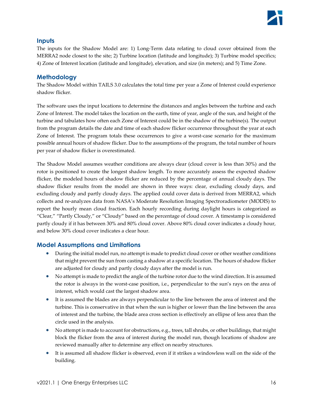#### <span id="page-15-0"></span>**Inputs**

The inputs for the Shadow Model are: 1) Long-Term data relating to cloud cover obtained from the MERRA2 node closest to the site; 2) Turbine location (latitude and longitude); 3) Turbine model specifics; 4) Zone of Interest location (latitude and longitude), elevation, and size (in meters); and 5) Time Zone.

#### <span id="page-15-1"></span>**Methodology**

The Shadow Model within TAILS 3.0 calculates the total time per year a Zone of Interest could experience shadow flicker.

The software uses the input locations to determine the distances and angles between the turbine and each Zone of Interest. The model takes the location on the earth, time of year, angle of the sun, and height of the turbine and tabulates how often each Zone of Interest could be in the shadow of the turbine(s). The output from the program details the date and time of each shadow flicker occurrence throughout the year at each Zone of Interest. The program totals these occurrences to give a worst-case scenario for the maximum possible annual hours of shadow flicker. Due to the assumptions of the program, the total number of hours per year of shadow flicker is overestimated.

The Shadow Model assumes weather conditions are always clear (cloud cover is less than 30%) and the rotor is positioned to create the longest shadow length. To more accurately assess the expected shadow flicker, the modeled hours of shadow flicker are reduced by the percentage of annual cloudy days. The shadow flicker results from the model are shown in three ways: clear, excluding cloudy days, and excluding cloudy and partly cloudy days. The applied could cover data is derived from MERRA2, which collects and re-analyzes data from NASA's Moderate Resolution Imaging Spectroradiometer (MODIS) to report the hourly mean cloud fraction. Each hourly recording during daylight hours is categorized as "Clear," "Partly Cloudy," or "Cloudy" based on the percentage of cloud cover. A timestamp is considered partly cloudy if it has between 30% and 80% cloud cover. Above 80% cloud cover indicates a cloudy hour, and below 30% cloud cover indicates a clear hour.

#### <span id="page-15-2"></span>**Model Assumptions and Limitations**

- During the initial model run, no attempt is made to predict cloud cover or other weather conditions that might prevent the sun from casting a shadow at a specific location. The hours of shadow flicker are adjusted for cloudy and partly cloudy days after the model is run.
- No attempt is made to predict the angle of the turbine rotor due to the wind direction. It is assumed the rotor is always in the worst-case position, i.e., perpendicular to the sun's rays on the area of interest, which would cast the largest shadow area.
- It is assumed the blades are always perpendicular to the line between the area of interest and the turbine. This is conservative in that when the sun is higher or lower than the line between the area of interest and the turbine, the blade area cross section is effectively an ellipse of less area than the circle used in the analysis.
- No attempt is made to account for obstructions, e.g., trees, tall shrubs, or other buildings, that might block the flicker from the area of interest during the model run, though locations of shadow are reviewed manually after to determine any effect on nearby structures.
- It is assumed all shadow flicker is observed, even if it strikes a windowless wall on the side of the building.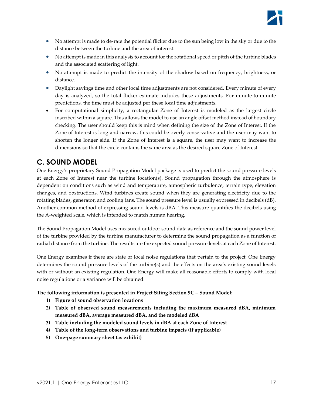- No attempt is made to de-rate the potential flicker due to the sun being low in the sky or due to the distance between the turbine and the area of interest.
- No attempt is made in this analysis to account for the rotational speed or pitch of the turbine blades and the associated scattering of light.
- No attempt is made to predict the intensity of the shadow based on frequency, brightness, or distance.
- Daylight savings time and other local time adjustments are not considered. Every minute of every day is analyzed, so the total flicker estimate includes these adjustments. For minute-to-minute predictions, the time must be adjusted per these local time adjustments.
- For computational simplicity, a rectangular Zone of Interest is modeled as the largest circle inscribed within a square. This allows the model to use an angle offset method instead of boundary checking. The user should keep this is mind when defining the size of the Zone of Interest. If the Zone of Interest is long and narrow, this could be overly conservative and the user may want to shorten the longer side. If the Zone of Interest is a square, the user may want to increase the dimensions so that the circle contains the same area as the desired square Zone of Interest.

## <span id="page-16-0"></span>**C. SOUND MODEL**

One Energy's proprietary Sound Propagation Model package is used to predict the sound pressure levels at each Zone of Interest near the turbine location(s). Sound propagation through the atmosphere is dependent on conditions such as wind and temperature, atmospheric turbulence, terrain type, elevation changes, and obstructions. Wind turbines create sound when they are generating electricity due to the rotating blades, generator, and cooling fans. The sound pressure level is usually expressed in decibels (dB). Another common method of expressing sound levels is dBA. This measure quantifies the decibels using the A-weighted scale, which is intended to match human hearing.

The Sound Propagation Model uses measured outdoor sound data as reference and the sound power level of the turbine provided by the turbine manufacturer to determine the sound propagation as a function of radial distance from the turbine. The results are the expected sound pressure levels at each Zone of Interest.

One Energy examines if there are state or local noise regulations that pertain to the project. One Energy determines the sound pressure levels of the turbine(s) and the effects on the area's existing sound levels with or without an existing regulation. One Energy will make all reasonable efforts to comply with local noise regulations or a variance will be obtained.

**The following information is presented in Project Siting Section 9C – Sound Model:**

- **1) Figure of sound observation locations**
- **2) Table of observed sound measurements including the maximum measured dBA, minimum measured dBA, average measured dBA, and the modeled dBA**
- **3) Table including the modeled sound levels in dBA at each Zone of Interest**
- **4) Table of the long-term observations and turbine impacts (if applicable)**
- **5) One-page summary sheet (as exhibit)**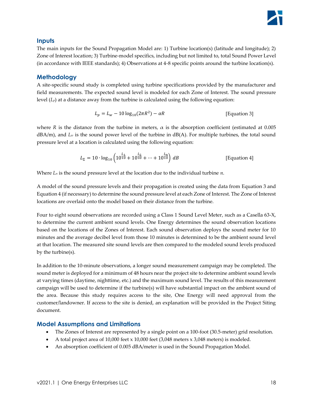#### <span id="page-17-0"></span>**Inputs**

The main inputs for the Sound Propagation Model are: 1) Turbine location(s) (latitude and longitude); 2) Zone of Interest location; 3) Turbine-model specifics, including but not limited to, total Sound Power Level (in accordance with IEEE standards); 4) Observations at 4-8 specific points around the turbine location(s).

#### <span id="page-17-1"></span>**Methodology**

A site-specific sound study is completed using turbine specifications provided by the manufacturer and field measurements. The expected sound level is modeled for each Zone of Interest. The sound pressure level  $(L_p)$  at a distance away from the turbine is calculated using the following equation:

<span id="page-17-4"></span><span id="page-17-3"></span>
$$
L_p = L_w - 10 \log_{10}(2\pi R^2) - \alpha R
$$
 [Equation 3]

where *R* is the distance from the turbine in meters,  $\alpha$  is the absorption coefficient (estimated at 0.005  $dBA/m$ ), and  $L_w$  is the sound power level of the turbine in  $dB(A)$ . For multiple turbines, the total sound pressure level at a location is calculated using the following equation:

$$
L_{\Sigma} = 10 \cdot \log_{10} \left( 10^{\frac{L_1}{10}} + 10^{\frac{L_2}{10}} + \dots + 10^{\frac{L_n}{10}} \right) dB
$$
 [Equation 4]

Where *L<sup>n</sup>* is the sound pressure level at the location due to the individual turbine *n*.

A model of the sound pressure levels and their propagation is created using the data from [Equation 3](#page-17-3) and [Equation 4](#page-17-4) (if necessary) to determine the sound pressure level at each Zone of Interest. The Zone of Interest locations are overlaid onto the model based on their distance from the turbine.

Four to eight sound observations are recorded using a Class 1 Sound Level Meter, such as a Casella 63-X, to determine the current ambient sound levels. One Energy determines the sound observation locations based on the locations of the Zones of Interest. Each sound observation deploys the sound meter for 10 minutes and the average decibel level from those 10 minutes is determined to be the ambient sound level at that location. The measured site sound levels are then compared to the modeled sound levels produced by the turbine(s).

In addition to the 10-minute observations, a longer sound measurement campaign may be completed. The sound meter is deployed for a minimum of 48 hours near the project site to determine ambient sound levels at varying times (daytime, nighttime, etc.) and the maximum sound level. The results of this measurement campaign will be used to determine if the turbine(s) will have substantial impact on the ambient sound of the area. Because this study requires access to the site, One Energy will need approval from the customer/landowner. If access to the site is denied, an explanation will be provided in the Project Siting document.

#### <span id="page-17-2"></span>**Model Assumptions and Limitations**

- The Zones of Interest are represented by a single point on a 100-foot (30.5-meter) grid resolution.
- A total project area of 10,000 feet  $x$  10,000 feet (3,048 meters  $x$  3,048 meters) is modeled.
- An absorption coefficient of 0.005 dBA/meter is used in the Sound Propagation Model.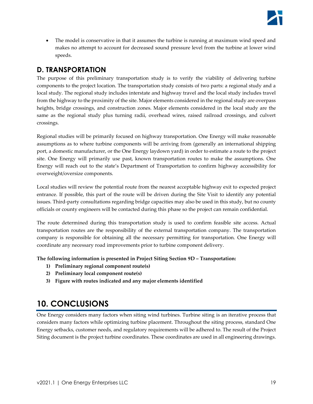

• The model is conservative in that it assumes the turbine is running at maximum wind speed and makes no attempt to account for decreased sound pressure level from the turbine at lower wind speeds.

## <span id="page-18-0"></span>**D. TRANSPORTATION**

The purpose of this preliminary transportation study is to verify the viability of delivering turbine components to the project location. The transportation study consists of two parts: a regional study and a local study. The regional study includes interstate and highway travel and the local study includes travel from the highway to the proximity of the site. Major elements considered in the regional study are overpass heights, bridge crossings, and construction zones. Major elements considered in the local study are the same as the regional study plus turning radii, overhead wires, raised railroad crossings, and culvert crossings.

Regional studies will be primarily focused on highway transportation. One Energy will make reasonable assumptions as to where turbine components will be arriving from (generally an international shipping port, a domestic manufacturer, or the One Energy laydown yard) in order to estimate a route to the project site. One Energy will primarily use past, known transportation routes to make the assumptions. One Energy will reach out to the state's Department of Transportation to confirm highway accessibility for overweight/oversize components.

Local studies will review the potential route from the nearest acceptable highway exit to expected project entrance. If possible, this part of the route will be driven during the Site Visit to identify any potential issues. Third-party consultations regarding bridge capacities may also be used in this study, but no county officials or county engineers will be contacted during this phase so the project can remain confidential.

The route determined during this transportation study is used to confirm feasible site access. Actual transportation routes are the responsibility of the external transportation company. The transportation company is responsible for obtaining all the necessary permitting for transportation. One Energy will coordinate any necessary road improvements prior to turbine component delivery.

**The following information is presented in Project Siting Section 9D – Transportation:**

- **1) Preliminary regional component route(s)**
- **2) Preliminary local component route(s)**
- **3) Figure with routes indicated and any major elements identified**

# <span id="page-18-1"></span>**10. CONCLUSIONS**

One Energy considers many factors when siting wind turbines. Turbine siting is an iterative process that considers many factors while optimizing turbine placement. Throughout the siting process, standard One Energy setbacks, customer needs, and regulatory requirements will be adhered to. The result of the Project Siting document is the project turbine coordinates. These coordinates are used in all engineering drawings.